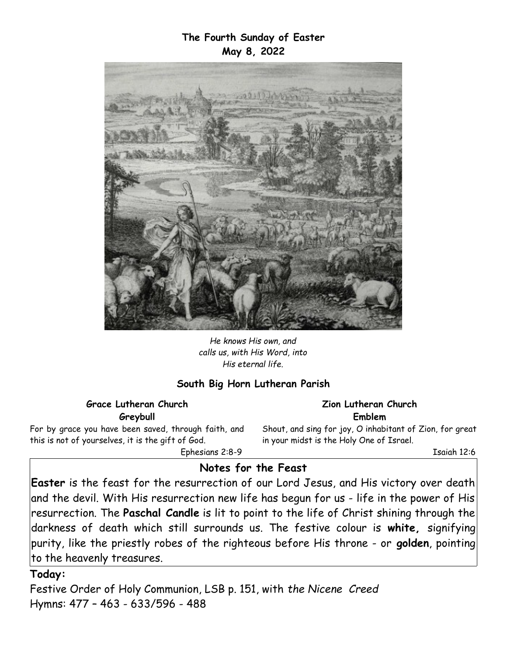## **The Fourth Sunday of Easter May 8, 2022**



*He knows His own, and calls us, with His Word, into His eternal life.*

### **South Big Horn Lutheran Parish**

#### **Grace Lutheran Church Greybull**

For by grace you have been saved, through faith, and this is not of yourselves, it is the gift of God. Ephesians 2:8-9

**Zion Lutheran Church Emblem**

Shout, and sing for joy, O inhabitant of Zion, for great in your midst is the Holy One of Israel.

# **Notes for the Feast**

**Easter** is the feast for the resurrection of our Lord Jesus, and His victory over death and the devil. With His resurrection new life has begun for us - life in the power of His resurrection. The **Paschal Candle** is lit to point to the life of Christ shining through the darkness of death which still surrounds us. The festive colour is **white,** signifying purity, like the priestly robes of the righteous before His throne - or **golden**, pointing to the heavenly treasures.

#### **Today:**

Festive Order of Holy Communion, LSB p. 151, with *the Nicene Creed* Hymns: 477 – 463 - 633/596 - 488

Isaiah 12:6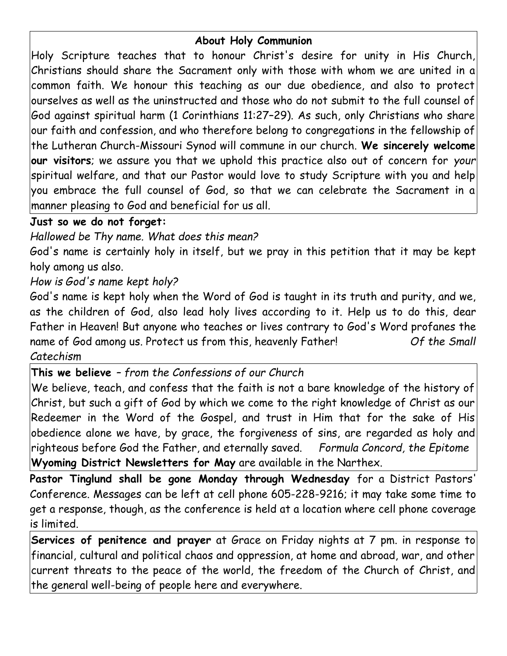## **About Holy Communion**

Holy Scripture teaches that to honour Christ's desire for unity in His Church, Christians should share the Sacrament only with those with whom we are united in a common faith. We honour this teaching as our due obedience, and also to protect ourselves as well as the uninstructed and those who do not submit to the full counsel of God against spiritual harm (1 Corinthians 11:27–29). As such, only Christians who share our faith and confession, and who therefore belong to congregations in the fellowship of the Lutheran Church-Missouri Synod will commune in our church. **We sincerely welcome our visitors**; we assure you that we uphold this practice also out of concern for *your* spiritual welfare, and that our Pastor would love to study Scripture with you and help you embrace the full counsel of God, so that we can celebrate the Sacrament in a manner pleasing to God and beneficial for us all.

# **Just so we do not forget:**

*Hallowed be Thy name. What does this mean?*

God's name is certainly holy in itself, but we pray in this petition that it may be kept holy among us also.

# *How is God's name kept holy?*

God's name is kept holy when the Word of God is taught in its truth and purity, and we, as the children of God, also lead holy lives according to it. Help us to do this, dear Father in Heaven! But anyone who teaches or lives contrary to God's Word profanes the name of God among us. Protect us from this, heavenly Father! *Of the Small Catechism*

# **This we believe** *– from the Confessions of our Church*

We believe, teach, and confess that the faith is not a bare knowledge of the history of Christ, but such a gift of God by which we come to the right knowledge of Christ as our Redeemer in the Word of the Gospel, and trust in Him that for the sake of His obedience alone we have, by grace, the forgiveness of sins, are regarded as holy and righteous before God the Father, and eternally saved. *Formula Concord, the Epitome* **Wyoming District Newsletters for May** are available in the Narthex.

**Pastor Tinglund shall be gone Monday through Wednesday** for a District Pastors' Conference. Messages can be left at cell phone 605-228-9216; it may take some time to get a response, though, as the conference is held at a location where cell phone coverage is limited.

**Services of penitence and prayer** at Grace on Friday nights at 7 pm. in response to financial, cultural and political chaos and oppression, at home and abroad, war, and other current threats to the peace of the world, the freedom of the Church of Christ, and the general well-being of people here and everywhere.